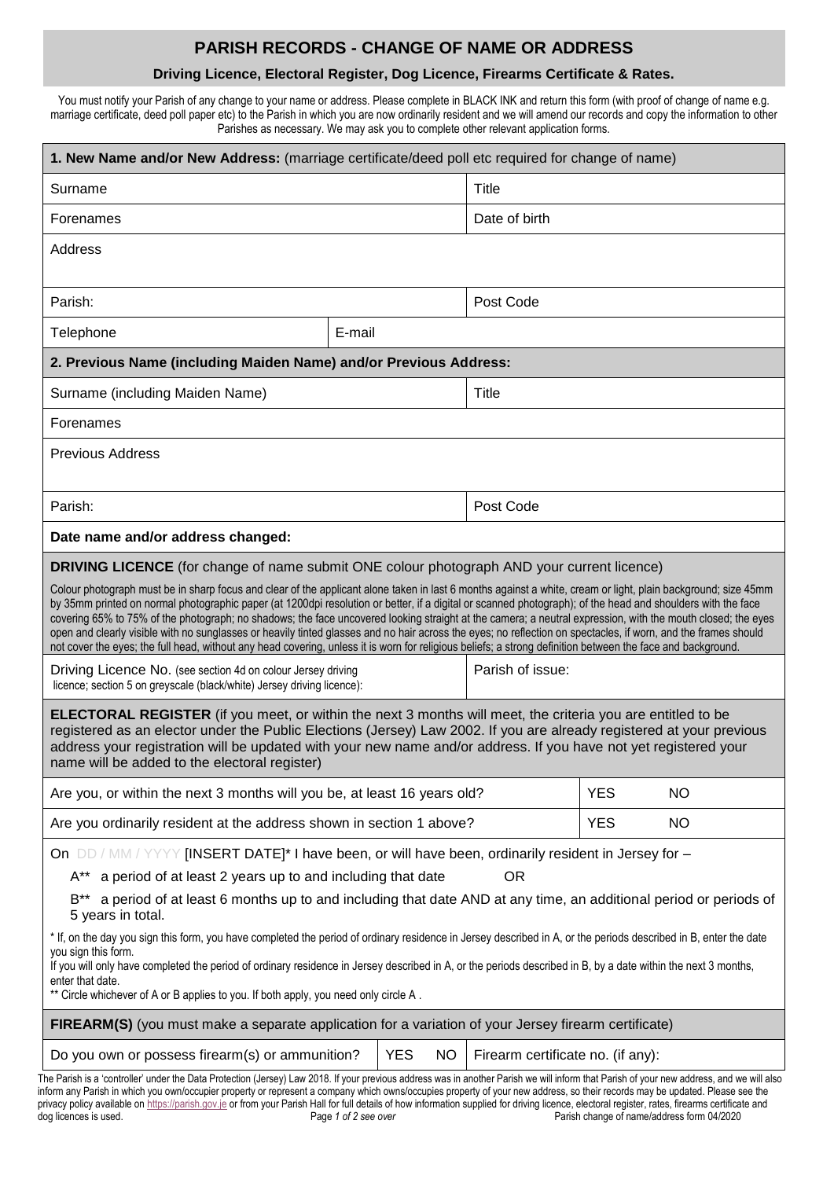## **PARISH RECORDS - CHANGE OF NAME OR ADDRESS**

## **Driving Licence, Electoral Register, Dog Licence, Firearms Certificate & Rates.**

You must notify your Parish of any change to your name or address. Please complete in BLACK INK and return this form (with proof of change of name e.g. marriage certificate, deed poll paper etc) to the Parish in which you are now ordinarily resident and we will amend our records and copy the information to other Parishes as necessary. We may ask you to complete other relevant application forms.

| 1. New Name and/or New Address: (marriage certificate/deed poll etc required for change of name)                                                                                                                                                                                                                                                                                                                                                                                                                                                                                                                                                                                                                                                                                                                                                                                                                                                                                                                                                                                                                                                                                                                                                                                                                                               |        |               |           |            |           |  |  |
|------------------------------------------------------------------------------------------------------------------------------------------------------------------------------------------------------------------------------------------------------------------------------------------------------------------------------------------------------------------------------------------------------------------------------------------------------------------------------------------------------------------------------------------------------------------------------------------------------------------------------------------------------------------------------------------------------------------------------------------------------------------------------------------------------------------------------------------------------------------------------------------------------------------------------------------------------------------------------------------------------------------------------------------------------------------------------------------------------------------------------------------------------------------------------------------------------------------------------------------------------------------------------------------------------------------------------------------------|--------|---------------|-----------|------------|-----------|--|--|
| Surname                                                                                                                                                                                                                                                                                                                                                                                                                                                                                                                                                                                                                                                                                                                                                                                                                                                                                                                                                                                                                                                                                                                                                                                                                                                                                                                                        |        | <b>Title</b>  |           |            |           |  |  |
| Forenames                                                                                                                                                                                                                                                                                                                                                                                                                                                                                                                                                                                                                                                                                                                                                                                                                                                                                                                                                                                                                                                                                                                                                                                                                                                                                                                                      |        | Date of birth |           |            |           |  |  |
| Address                                                                                                                                                                                                                                                                                                                                                                                                                                                                                                                                                                                                                                                                                                                                                                                                                                                                                                                                                                                                                                                                                                                                                                                                                                                                                                                                        |        |               |           |            |           |  |  |
| Parish:                                                                                                                                                                                                                                                                                                                                                                                                                                                                                                                                                                                                                                                                                                                                                                                                                                                                                                                                                                                                                                                                                                                                                                                                                                                                                                                                        |        |               | Post Code |            |           |  |  |
| Telephone                                                                                                                                                                                                                                                                                                                                                                                                                                                                                                                                                                                                                                                                                                                                                                                                                                                                                                                                                                                                                                                                                                                                                                                                                                                                                                                                      | E-mail |               |           |            |           |  |  |
| 2. Previous Name (including Maiden Name) and/or Previous Address:                                                                                                                                                                                                                                                                                                                                                                                                                                                                                                                                                                                                                                                                                                                                                                                                                                                                                                                                                                                                                                                                                                                                                                                                                                                                              |        |               |           |            |           |  |  |
| Surname (including Maiden Name)                                                                                                                                                                                                                                                                                                                                                                                                                                                                                                                                                                                                                                                                                                                                                                                                                                                                                                                                                                                                                                                                                                                                                                                                                                                                                                                |        | Title         |           |            |           |  |  |
| Forenames                                                                                                                                                                                                                                                                                                                                                                                                                                                                                                                                                                                                                                                                                                                                                                                                                                                                                                                                                                                                                                                                                                                                                                                                                                                                                                                                      |        |               |           |            |           |  |  |
| <b>Previous Address</b>                                                                                                                                                                                                                                                                                                                                                                                                                                                                                                                                                                                                                                                                                                                                                                                                                                                                                                                                                                                                                                                                                                                                                                                                                                                                                                                        |        |               |           |            |           |  |  |
| Parish:                                                                                                                                                                                                                                                                                                                                                                                                                                                                                                                                                                                                                                                                                                                                                                                                                                                                                                                                                                                                                                                                                                                                                                                                                                                                                                                                        |        | Post Code     |           |            |           |  |  |
| Date name and/or address changed:                                                                                                                                                                                                                                                                                                                                                                                                                                                                                                                                                                                                                                                                                                                                                                                                                                                                                                                                                                                                                                                                                                                                                                                                                                                                                                              |        |               |           |            |           |  |  |
| <b>DRIVING LICENCE</b> (for change of name submit ONE colour photograph AND your current licence)<br>Colour photograph must be in sharp focus and clear of the applicant alone taken in last 6 months against a white, cream or light, plain background; size 45mm<br>by 35mm printed on normal photographic paper (at 1200dpi resolution or better, if a digital or scanned photograph); of the head and shoulders with the face<br>covering 65% to 75% of the photograph; no shadows; the face uncovered looking straight at the camera; a neutral expression, with the mouth closed; the eyes<br>open and clearly visible with no sunglasses or heavily tinted glasses and no hair across the eyes; no reflection on spectacles, if worn, and the frames should<br>not cover the eyes; the full head, without any head covering, unless it is worn for religious beliefs; a strong definition between the face and background.<br>Parish of issue:<br>Driving Licence No. (see section 4d on colour Jersey driving<br>licence; section 5 on greyscale (black/white) Jersey driving licence):<br><b>ELECTORAL REGISTER</b> (if you meet, or within the next 3 months will meet, the criteria you are entitled to be<br>registered as an elector under the Public Elections (Jersey) Law 2002. If you are already registered at your previous |        |               |           |            |           |  |  |
| address your registration will be updated with your new name and/or address. If you have not yet registered your<br>name will be added to the electoral register)                                                                                                                                                                                                                                                                                                                                                                                                                                                                                                                                                                                                                                                                                                                                                                                                                                                                                                                                                                                                                                                                                                                                                                              |        |               |           |            |           |  |  |
| Are you, or within the next 3 months will you be, at least 16 years old?                                                                                                                                                                                                                                                                                                                                                                                                                                                                                                                                                                                                                                                                                                                                                                                                                                                                                                                                                                                                                                                                                                                                                                                                                                                                       |        |               |           | <b>YES</b> | <b>NO</b> |  |  |
| Are you ordinarily resident at the address shown in section 1 above?                                                                                                                                                                                                                                                                                                                                                                                                                                                                                                                                                                                                                                                                                                                                                                                                                                                                                                                                                                                                                                                                                                                                                                                                                                                                           |        |               |           | <b>YES</b> | <b>NO</b> |  |  |
| On DD / MM / YYYY [INSERT DATE]* I have been, or will have been, ordinarily resident in Jersey for -<br>A** a period of at least 2 years up to and including that date<br><b>OR</b><br>a period of at least 6 months up to and including that date AND at any time, an additional period or periods of<br>B**<br>5 years in total.                                                                                                                                                                                                                                                                                                                                                                                                                                                                                                                                                                                                                                                                                                                                                                                                                                                                                                                                                                                                             |        |               |           |            |           |  |  |
| * If, on the day you sign this form, you have completed the period of ordinary residence in Jersey described in A, or the periods described in B, enter the date<br>you sign this form.<br>If you will only have completed the period of ordinary residence in Jersey described in A, or the periods described in B, by a date within the next 3 months,<br>enter that date.<br>** Circle whichever of A or B applies to you. If both apply, you need only circle A.                                                                                                                                                                                                                                                                                                                                                                                                                                                                                                                                                                                                                                                                                                                                                                                                                                                                           |        |               |           |            |           |  |  |
| FIREARM(S) (you must make a separate application for a variation of your Jersey firearm certificate)                                                                                                                                                                                                                                                                                                                                                                                                                                                                                                                                                                                                                                                                                                                                                                                                                                                                                                                                                                                                                                                                                                                                                                                                                                           |        |               |           |            |           |  |  |
| Do you own or possess firearm(s) or ammunition?<br><b>YES</b><br><b>NO</b><br>Firearm certificate no. (if any):                                                                                                                                                                                                                                                                                                                                                                                                                                                                                                                                                                                                                                                                                                                                                                                                                                                                                                                                                                                                                                                                                                                                                                                                                                |        |               |           |            |           |  |  |
| The Parish is a 'controller' under the Data Protection (Jersey) Law 2018. If your previous address was in another Parish we will inform that Parish of your new address, and we will also<br>inform any Parish in which you own/occupier property or represent a company which owns/occupies property of your new address, so their records may be updated. Please see the                                                                                                                                                                                                                                                                                                                                                                                                                                                                                                                                                                                                                                                                                                                                                                                                                                                                                                                                                                     |        |               |           |            |           |  |  |

privacy policy available o[n https://parish.gov.je](https://parish.gov.je/) or from your Parish Hall for full details of how information supplied for driving licence, electoral register, rates, firearms certificate and dog licences is used. **Page 1** of 2 see over **Page 1** of 2 see *over* Parish change of name/address form 04/2020